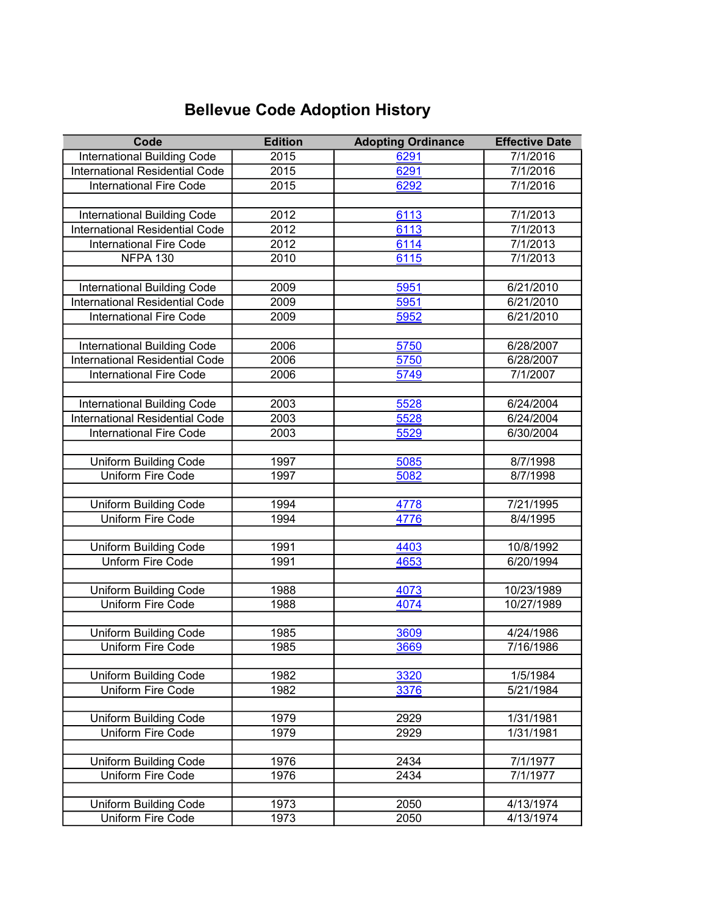## Bellevue Code Adoption History

| Code                                  | <b>Edition</b> | <b>Adopting Ordinance</b> | <b>Effective Date</b> |
|---------------------------------------|----------------|---------------------------|-----------------------|
| <b>International Building Code</b>    | 2015           | 6291                      | 7/1/2016              |
| <b>International Residential Code</b> | 2015           | 6291                      | 7/1/2016              |
| <b>International Fire Code</b>        | 2015           | 6292                      | 7/1/2016              |
|                                       |                |                           |                       |
| International Building Code           | 2012           | 6113                      | 7/1/2013              |
| <b>International Residential Code</b> | 2012           | 6113                      | 7/1/2013              |
| <b>International Fire Code</b>        | 2012           | 6114                      | 7/1/2013              |
| <b>NFPA 130</b>                       | 2010           | 6115                      | 7/1/2013              |
|                                       |                |                           |                       |
| International Building Code           | 2009           | 5951                      | 6/21/2010             |
| <b>International Residential Code</b> | 2009           | 5951                      | 6/21/2010             |
| <b>International Fire Code</b>        | 2009           | 5952                      | 6/21/2010             |
|                                       |                |                           |                       |
| International Building Code           | 2006           | 5750                      | 6/28/2007             |
| <b>International Residential Code</b> | 2006           | 5750                      | 6/28/2007             |
| <b>International Fire Code</b>        | 2006           | 5749                      | 7/1/2007              |
|                                       |                |                           |                       |
| International Building Code           | 2003           | 5528                      | 6/24/2004             |
| <b>International Residential Code</b> | 2003           | 5528                      | 6/24/2004             |
| <b>International Fire Code</b>        | 2003           | 5529                      | 6/30/2004             |
|                                       |                |                           |                       |
| <b>Uniform Building Code</b>          | 1997           | 5085                      | 8/7/1998              |
| <b>Uniform Fire Code</b>              | 1997           | 5082                      | 8/7/1998              |
|                                       |                |                           |                       |
| <b>Uniform Building Code</b>          | 1994           | 4778                      | 7/21/1995             |
| Uniform Fire Code                     | 1994           | 4776                      | 8/4/1995              |
|                                       |                |                           |                       |
| Uniform Building Code                 | 1991           | 4403                      | 10/8/1992             |
| <b>Unform Fire Code</b>               | 1991           | 4653                      | 6/20/1994             |
| <b>Uniform Building Code</b>          | 1988           | 4073                      | 10/23/1989            |
| <b>Uniform Fire Code</b>              | 1988           | 4074                      | 10/27/1989            |
|                                       |                |                           |                       |
| <b>Uniform Building Code</b>          | 1985           | 3609                      | 4/24/1986             |
| Uniform Fire Code                     | 1985           | 3669                      | 7/16/1986             |
|                                       |                |                           |                       |
| <b>Uniform Building Code</b>          | 1982           | 3320                      | 1/5/1984              |
| Uniform Fire Code                     | 1982           | 3376                      | 5/21/1984             |
|                                       |                |                           |                       |
| <b>Uniform Building Code</b>          | 1979           | 2929                      | 1/31/1981             |
| Uniform Fire Code                     | 1979           | 2929                      | 1/31/1981             |
|                                       |                |                           |                       |
| <b>Uniform Building Code</b>          | 1976           | 2434                      | 7/1/1977              |
| Uniform Fire Code                     | 1976           | 2434                      | 7/1/1977              |
|                                       |                |                           |                       |
| <b>Uniform Building Code</b>          | 1973           | 2050                      | 4/13/1974             |
| <b>Uniform Fire Code</b>              | 1973           | 2050                      | 4/13/1974             |